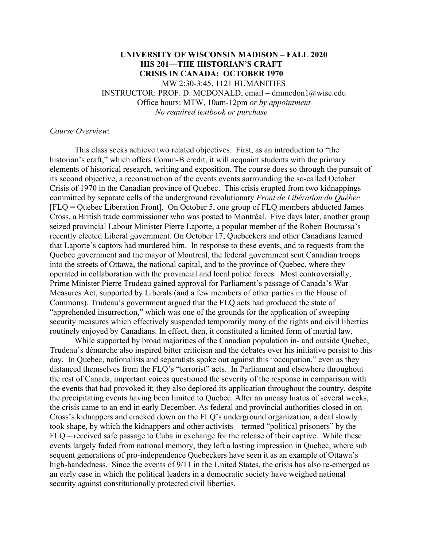## **UNIVERSITY OF WISCONSIN MADISON – FALL 2020 HIS 201—THE HISTORIAN'S CRAFT CRISIS IN CANADA: OCTOBER 1970**  MW 2:30-3:45, 1121 HUMANITIES INSTRUCTOR: PROF. D. MCDONALD, email – dmmcdon1@wisc.edu Office hours: MTW, 10am-12pm *or by appointment No required textbook or purchase*

#### *Course Overview*:

This class seeks achieve two related objectives. First, as an introduction to "the historian's craft," which offers Comm-B credit, it will acquaint students with the primary elements of historical research, writing and exposition. The course does so through the pursuit of its second objective, a reconstruction of the events events surrounding the so-called October Crisis of 1970 in the Canadian province of Quebec. This crisis erupted from two kidnappings committed by separate cells of the underground revolutionary *Front de Libération du Québec* [FLQ = Quebec Liberation Front]. On October 5, one group of FLQ members abducted James Cross, a British trade commissioner who was posted to Montréal. Five days later, another group seized provincial Labour Minister Pierre Laporte, a popular member of the Robert Bourassa's recently elected Liberal government. On October 17, Quebeckers and other Canadians learned that Laporte's captors had murdered him. In response to these events, and to requests from the Quebec government and the mayor of Montreal, the federal government sent Canadian troops into the streets of Ottawa, the national capital, and to the province of Quebec, where they operated in collaboration with the provincial and local police forces. Most controversially, Prime Minister Pierre Trudeau gained approval for Parliament's passage of Canada's War Measures Act, supported by Liberals (and a few members of other parties in the House of Commons). Trudeau's government argued that the FLQ acts had produced the state of "apprehended insurrection," which was one of the grounds for the application of sweeping security measures which effectively suspended temporarily many of the rights and civil liberties routinely enjoyed by Canadians. In effect, then, it constituted a limited form of martial law.

While supported by broad majorities of the Canadian population in- and outside Quebec, Trudeau's démarche also inspired bitter criticism and the debates over his initiative persist to this day. In Quebec, nationalists and separatists spoke out against this "occupation," even as they distanced themselves from the FLQ's "terrorist" acts. In Parliament and elsewhere throughout the rest of Canada, important voices questioned the severity of the response in comparison with the events that had provoked it; they also deplored its application throughout the country, despite the precipitating events having been limited to Quebec. After an uneasy hiatus of several weeks, the crisis came to an end in early December. As federal and provincial authorities closed in on Cross's kidnappers and cracked down on the FLQ's underground organization, a deal slowly took shape, by which the kidnappers and other activists – termed "political prisoners" by the FLQ – received safe passage to Cuba in exchange for the release of their captive. While these events largely faded from national memory, they left a lasting impression in Quebec, where sub sequent generations of pro-independence Quebeckers have seen it as an example of Ottawa's high-handedness. Since the events of 9/11 in the United States, the crisis has also re-emerged as an early case in which the political leaders in a democratic society have weighed national security against constitutionally protected civil liberties.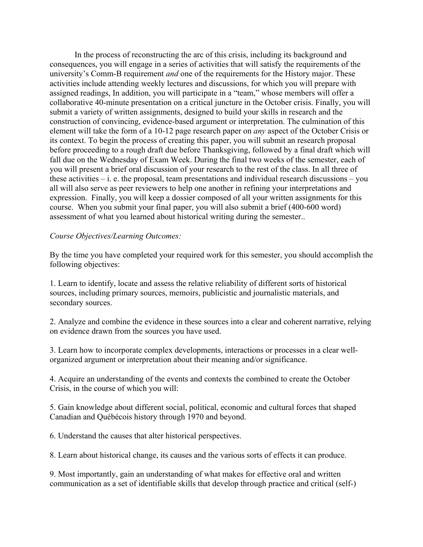In the process of reconstructing the arc of this crisis, including its background and consequences, you will engage in a series of activities that will satisfy the requirements of the university's Comm-B requirement *and* one of the requirements for the History major. These activities include attending weekly lectures and discussions, for which you will prepare with assigned readings, In addition, you will participate in a "team," whose members will offer a collaborative 40-minute presentation on a critical juncture in the October crisis. Finally, you will submit a variety of written assignments, designed to build your skills in research and the construction of convincing, evidence-based argument or interpretation. The culmination of this element will take the form of a 10-12 page research paper on *any* aspect of the October Crisis or its context. To begin the process of creating this paper, you will submit an research proposal before proceeding to a rough draft due before Thanksgiving, followed by a final draft which will fall due on the Wednesday of Exam Week. During the final two weeks of the semester, each of you will present a brief oral discussion of your research to the rest of the class. In all three of these activities  $-$  i. e. the proposal, team presentations and individual research discussions  $-$  you all will also serve as peer reviewers to help one another in refining your interpretations and expression. Finally, you will keep a dossier composed of all your written assignments for this course. When you submit your final paper, you will also submit a brief (400-600 word) assessment of what you learned about historical writing during the semester..

## *Course Objectives/Learning Outcomes:*

By the time you have completed your required work for this semester, you should accomplish the following objectives:

1. Learn to identify, locate and assess the relative reliability of different sorts of historical sources, including primary sources, memoirs, publicistic and journalistic materials, and secondary sources.

2. Analyze and combine the evidence in these sources into a clear and coherent narrative, relying on evidence drawn from the sources you have used.

3. Learn how to incorporate complex developments, interactions or processes in a clear wellorganized argument or interpretation about their meaning and/or significance.

4. Acquire an understanding of the events and contexts the combined to create the October Crisis, in the course of which you will:

5. Gain knowledge about different social, political, economic and cultural forces that shaped Canadian and Québécois history through 1970 and beyond.

6. Understand the causes that alter historical perspectives.

8. Learn about historical change, its causes and the various sorts of effects it can produce.

9. Most importantly, gain an understanding of what makes for effective oral and written communication as a set of identifiable skills that develop through practice and critical (self-)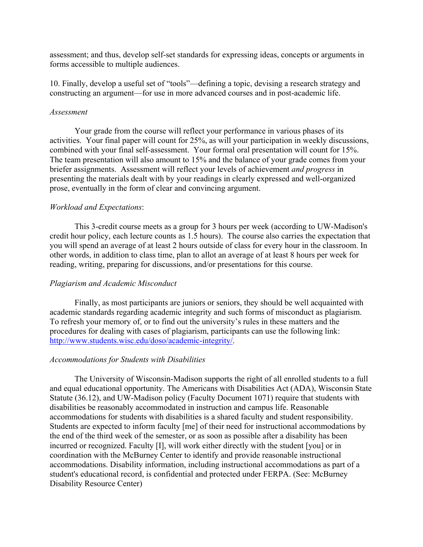assessment; and thus, develop self-set standards for expressing ideas, concepts or arguments in forms accessible to multiple audiences.

10. Finally, develop a useful set of "tools"—defining a topic, devising a research strategy and constructing an argument—for use in more advanced courses and in post-academic life.

#### *Assessment*

 Your grade from the course will reflect your performance in various phases of its activities. Your final paper will count for 25%, as will your participation in weekly discussions, combined with your final self-assessment. Your formal oral presentation will count for 15%. The team presentation will also amount to 15% and the balance of your grade comes from your briefer assignments. Assessment will reflect your levels of achievement *and progress* in presenting the materials dealt with by your readings in clearly expressed and well-organized prose, eventually in the form of clear and convincing argument.

## *Workload and Expectations*:

This 3-credit course meets as a group for 3 hours per week (according to UW-Madison's credit hour policy, each lecture counts as 1.5 hours). The course also carries the expectation that you will spend an average of at least 2 hours outside of class for every hour in the classroom. In other words, in addition to class time, plan to allot an average of at least 8 hours per week for reading, writing, preparing for discussions, and/or presentations for this course.

## *Plagiarism and Academic Misconduct*

Finally, as most participants are juniors or seniors, they should be well acquainted with academic standards regarding academic integrity and such forms of misconduct as plagiarism. To refresh your memory of, or to find out the university's rules in these matters and the procedures for dealing with cases of plagiarism, participants can use the following link: http://www.students.wisc.edu/doso/academic-integrity/.

## *Accommodations for Students with Disabilities*

The University of Wisconsin-Madison supports the right of all enrolled students to a full and equal educational opportunity. The Americans with Disabilities Act (ADA), Wisconsin State Statute (36.12), and UW-Madison policy (Faculty Document 1071) require that students with disabilities be reasonably accommodated in instruction and campus life. Reasonable accommodations for students with disabilities is a shared faculty and student responsibility. Students are expected to inform faculty [me] of their need for instructional accommodations by the end of the third week of the semester, or as soon as possible after a disability has been incurred or recognized. Faculty [I], will work either directly with the student [you] or in coordination with the McBurney Center to identify and provide reasonable instructional accommodations. Disability information, including instructional accommodations as part of a student's educational record, is confidential and protected under FERPA. (See: McBurney Disability Resource Center)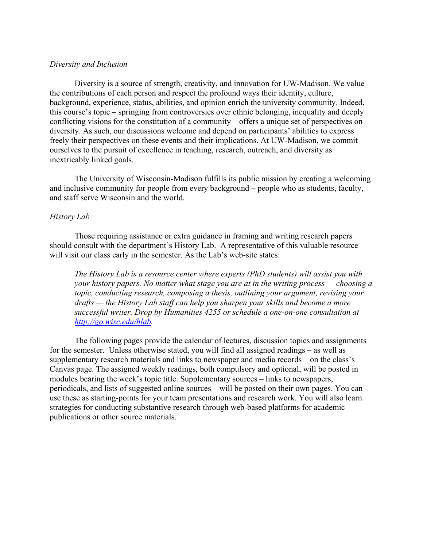#### *Diversity and Inclusion*

Diversity is a source of strength, creativity, and innovation for UW-Madison. We value the contributions of each person and respect the profound ways their identity, culture, background, experience, status, abilities, and opinion enrich the university community. Indeed, this course's topic – springing from controversies over ethnic belonging, inequality and deeply conflicting visions for the constitution of a community – offers a unique set of perspectives on diversity. As such, our discussions welcome and depend on participants' abilities to express freely their perspectives on these events and their implications. At UW-Madison, we commit ourselves to the pursuit of excellence in teaching, research, outreach, and diversity as inextricably linked goals.

The University of Wisconsin-Madison fulfills its public mission by creating a welcoming and inclusive community for people from every background – people who as students, faculty, and staff serve Wisconsin and the world.

#### *History Lab*

Those requiring assistance or extra guidance in framing and writing research papers should consult with the department's History Lab. A representative of this valuable resource will visit our class early in the semester. As the Lab's web-site states:

*The History Lab is a resource center where experts (PhD students) will assist you with your history papers. No matter what stage you are at in the writing process — choosing a topic, conducting research, composing a thesis, outlining your argument, revising your drafts — the History Lab staff can help you sharpen your skills and become a more successful writer. Drop by Humanities 4255 or schedule a one-on-one consultation at http://go.wisc.edu/hlab.* 

The following pages provide the calendar of lectures, discussion topics and assignments for the semester. Unless otherwise stated, you will find all assigned readings – as well as supplementary research materials and links to newspaper and media records – on the class's Canvas page. The assigned weekly readings, both compulsory and optional, will be posted in modules bearing the week's topic title. Supplementary sources – links to newspapers, periodicals, and lists of suggested online sources – will be posted on their own pages. You can use these as starting-points for your team presentations and research work. You will also learn strategies for conducting substantive research through web-based platforms for academic publications or other source materials.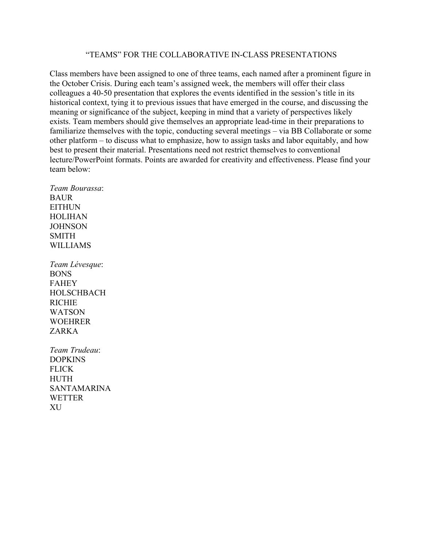# "TEAMS" FOR THE COLLABORATIVE IN-CLASS PRESENTATIONS

Class members have been assigned to one of three teams, each named after a prominent figure in the October Crisis. During each team's assigned week, the members will offer their class colleagues a 40-50 presentation that explores the events identified in the session's title in its historical context, tying it to previous issues that have emerged in the course, and discussing the meaning or significance of the subject, keeping in mind that a variety of perspectives likely exists. Team members should give themselves an appropriate lead-time in their preparations to familiarize themselves with the topic, conducting several meetings – via BB Collaborate or some other platform – to discuss what to emphasize, how to assign tasks and labor equitably, and how best to present their material. Presentations need not restrict themselves to conventional lecture/PowerPoint formats. Points are awarded for creativity and effectiveness. Please find your team below:

*Team Bourassa*: BAUR EITHUN HOLIHAN **JOHNSON** SMITH WILLIAMS

*Team Lévesque*: BONS FAHEY HOLSCHBACH RICHIE WATSON WOEHRER ZARKA

*Team Trudeau*: DOPKINS **FLICK** HUTH SANTAMARINA **WETTER** XU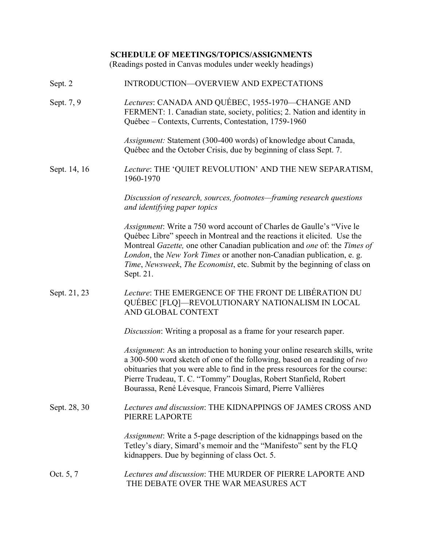# **SCHEDULE OF MEETINGS/TOPICS/ASSIGNMENTS**

(Readings posted in Canvas modules under weekly headings)

| Sept. 2    | INTRODUCTION—OVERVIEW AND EXPECTATIONS            |
|------------|---------------------------------------------------|
| Sept. 7, 9 | Lectures: CANADA AND QUÉBEC, 1955-1970-CHANGE AND |

FERMENT: 1. Canadian state, society, politics; 2. Nation and identity in Québec – Contexts, Currents, Contestation, 1759-1960

> *Assignment:* Statement (300-400 words) of knowledge about Canada, Québec and the October Crisis, due by beginning of class Sept. 7.

Sept. 14, 16 *Lecture*: THE 'QUIET REVOLUTION' AND THE NEW SEPARATISM, 1960-1970

> *Discussion of research, sources, footnotes—framing research questions and identifying paper topics*

*Assignment*: Write a 750 word account of Charles de Gaulle's "Vive le Québec Libre" speech in Montreal and the reactions it elicited. Use the Montreal *Gazette,* one other Canadian publication and *one* of: the *Times of London*, the *New York Times* or another non-Canadian publication, e. g. *Time*, *Newsweek*, *The Economist*, etc. Submit by the beginning of class on Sept. 21.

# Sept. 21, 23 *Lecture*: THE EMERGENCE OF THE FRONT DE LIBÉRATION DU QUÉBEC [FLQ]—REVOLUTIONARY NATIONALISM IN LOCAL AND GLOBAL CONTEXT

*Discussion*: Writing a proposal as a frame for your research paper.

*Assignment*: As an introduction to honing your online research skills, write a 300-500 word sketch of one of the following, based on a reading of *two* obituaries that you were able to find in the press resources for the course: Pierre Trudeau, T. C. "Tommy" Douglas, Robert Stanfield, Robert Bourassa, René Lévesque*,* Francois Simard, Pierre Vallières

Sept. 28, 30 *Lectures and discussion*: THE KIDNAPPINGS OF JAMES CROSS AND PIERRE LAPORTE

> *Assignment*: Write a 5-page description of the kidnappings based on the Tetley's diary, Simard's memoir and the "Manifesto" sent by the FLQ kidnappers. Due by beginning of class Oct. 5.

# Oct. 5, 7 *Lectures and discussion*: THE MURDER OF PIERRE LAPORTE AND THE DEBATE OVER THE WAR MEASURES ACT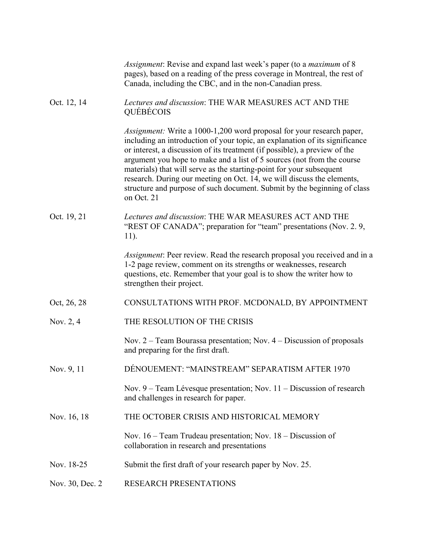|                 | <i>Assignment:</i> Revise and expand last week's paper (to a <i>maximum</i> of 8<br>pages), based on a reading of the press coverage in Montreal, the rest of<br>Canada, including the CBC, and in the non-Canadian press.                                                                                                                                                                                                                                                                                                                                      |
|-----------------|-----------------------------------------------------------------------------------------------------------------------------------------------------------------------------------------------------------------------------------------------------------------------------------------------------------------------------------------------------------------------------------------------------------------------------------------------------------------------------------------------------------------------------------------------------------------|
| Oct. 12, 14     | Lectures and discussion: THE WAR MEASURES ACT AND THE<br>QUÉBÉCOIS                                                                                                                                                                                                                                                                                                                                                                                                                                                                                              |
|                 | <i>Assignment:</i> Write a 1000-1,200 word proposal for your research paper,<br>including an introduction of your topic, an explanation of its significance<br>or interest, a discussion of its treatment (if possible), a preview of the<br>argument you hope to make and a list of 5 sources (not from the course<br>materials) that will serve as the starting-point for your subsequent<br>research. During our meeting on Oct. 14, we will discuss the elements,<br>structure and purpose of such document. Submit by the beginning of class<br>on Oct. 21 |
| Oct. 19, 21     | Lectures and discussion: THE WAR MEASURES ACT AND THE<br>"REST OF CANADA"; preparation for "team" presentations (Nov. 2.9,<br>11).                                                                                                                                                                                                                                                                                                                                                                                                                              |
|                 | <i>Assignment</i> : Peer review. Read the research proposal you received and in a<br>1-2 page review, comment on its strengths or weaknesses, research<br>questions, etc. Remember that your goal is to show the writer how to<br>strengthen their project.                                                                                                                                                                                                                                                                                                     |
| Oct, 26, 28     | CONSULTATIONS WITH PROF. MCDONALD, BY APPOINTMENT                                                                                                                                                                                                                                                                                                                                                                                                                                                                                                               |
| Nov. 2, 4       | THE RESOLUTION OF THE CRISIS                                                                                                                                                                                                                                                                                                                                                                                                                                                                                                                                    |
|                 | Nov. $2 -$ Team Bourassa presentation; Nov. $4 -$ Discussion of proposals<br>and preparing for the first draft.                                                                                                                                                                                                                                                                                                                                                                                                                                                 |
| Nov. 9, 11      | DÉNOUEMENT: "MAINSTREAM" SEPARATISM AFTER 1970                                                                                                                                                                                                                                                                                                                                                                                                                                                                                                                  |
|                 | Nov. $9 -$ Team Lévesque presentation; Nov. $11 -$ Discussion of research<br>and challenges in research for paper.                                                                                                                                                                                                                                                                                                                                                                                                                                              |
| Nov. 16, 18     | THE OCTOBER CRISIS AND HISTORICAL MEMORY                                                                                                                                                                                                                                                                                                                                                                                                                                                                                                                        |
|                 | Nov. $16$ – Team Trudeau presentation; Nov. $18$ – Discussion of<br>collaboration in research and presentations                                                                                                                                                                                                                                                                                                                                                                                                                                                 |
| Nov. 18-25      | Submit the first draft of your research paper by Nov. 25.                                                                                                                                                                                                                                                                                                                                                                                                                                                                                                       |
| Nov. 30, Dec. 2 | RESEARCH PRESENTATIONS                                                                                                                                                                                                                                                                                                                                                                                                                                                                                                                                          |